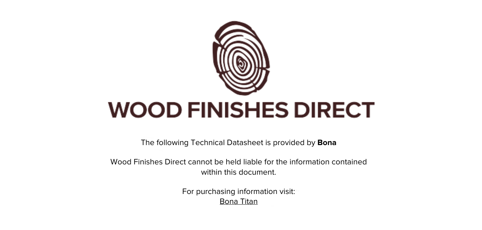

The following Technical Datasheet is provided by **Bona**

Wood Finishes Direct cannot be held liable for the information contained within this document

> For purchasing information visit: [Bona Titan](https://www.wood-finishes-direct.com/product/bona-titan)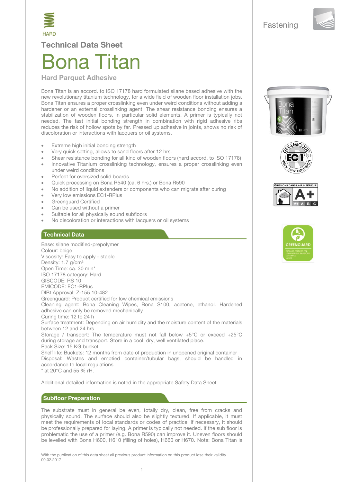



**Technical Data Sheet** 

# 3ona Titan

#### **Hard Parquet Adhesive**

Bona Titan is an accord. to ISO 17178 hard formulated silane based adhesive with the new revolutionary titanium technology, for a wide field of wooden floor installation jobs. Bona Titan ensures a proper crosslinking even under weird conditions without adding a hardener or an external crosslinking agent. The shear resistance bonding ensures a stabilization of wooden floors, in particular solid elements. A primer is typically not needed. The fast initial bonding strength in combination with rigid adhesive ribs reduces the risk of hollow spots by far. Pressed up adhesive in joints, shows no risk of discoloration or interactions with lacquers or oil systems.

- Extreme high initial bonding strength
- Very quick setting, allows to sand floors after 12 hrs.
- Shear resistance bonding for all kind of wooden floors (hard accord. to ISO 17178)
- Innovative Titanium crosslinking technology, ensures a proper crosslinking even under weird conditions
- Perfect for oversized solid boards
- Quick processing on Bona R540 (ca. 6 hrs.) or Bona R590
- No addition of liquid extenders or components who can migrate after curing
- Very low emissions EC1-RPlus
- **Greenquard Certified**
- Can be used without a primer
- Suitable for all physically sound subfloors
- No discoloration or interactions with lacquers or oil systems

## **Technical Data**

Base: silane modified-prepolymer Colour: beige Viscosity: Easy to apply - stable Density: 1.7 g/cm<sup>3</sup> Open Time: ca. 30 min\* ISO 17178 category: Hard GISCODE: RS 10 **EMICODE: EC1-RPlus** DIBt Approval: Z-155.10-482 Greenguard: Product certified for low chemical emissions Cleaning agent: Bona Cleaning Wipes, Bona S100, acetone, ethanol. Hardened adhesive can only be removed mechanically. Curing time: 12 to 24 h Surface treatment: Depending on air humidity and the moisture content of the materials between 12 and 24 hrs. Storage / transport: The temperature must not fall below +5°C or exceed +25°C during storage and transport. Store in a cool, dry, well ventilated place. Pack Size: 15 KG bucket Shelf life: Buckets: 12 months from date of production in unopened original container Disposal: Wastes and emptied container/tubular bags, should be handled in accordance to local regulations. \* at 20°C and 55 % rH.

Additional detailed information is noted in the appropriate Safety Data Sheet.

#### **Subfloor Preparation**

The substrate must in general be even, totally dry, clean, free from cracks and physically sound. The surface should also be slightly textured. If applicable, it must meet the requirements of local standards or codes of practice. If necessary, it should be professionally prepared for laying. A primer is typically not needed. If the sub floor is problematic the use of a primer (e.g. Bona R590) can improve it. Uneven floors should be levelled with Bona H600, H610 (filling of holes), H660 or H670. Note: Bona Titan is

With the publication of this data sheet all previous product information on this product lose their validity 09.02.2017







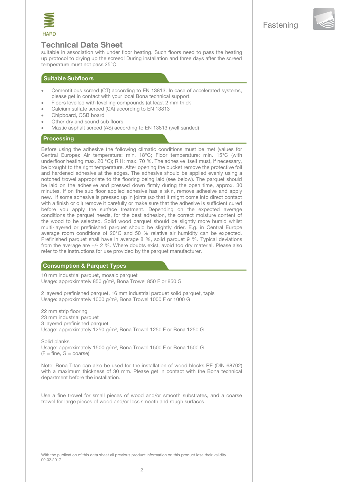



# **Technical Data Sheet**

suitable in association with under floor heating. Such floors need to pass the heating up protocol to drying up the screed! During installation and three days after the screed temperature must not pass 25°C!

#### Suitable Subfloors

- Cementitious screed (CT) according to EN 13813. In case of accelerated systems, please get in contact with your local Bona technical support.
- Floors levelled with levelling compounds (at least 2 mm thick
- Calcium sulfate screed (CA) according to EN 13813
- Chipboard, OSB board
- Other dry and sound sub floors
- Mastic asphalt screed (AS) according to EN 13813 (well sanded)

#### **Processing**

Before using the adhesive the following climatic conditions must be met (values for Central Europe): Air temperature: min. 18°C; Floor temperature: min. 15°C (with underfloor heating max. 20 °C); R.H: max. 70 %. The adhesive itself must, if necessary. be brought to the right temperature. After opening the bucket remove the protective foil and hardened adhesive at the edges. The adhesive should be applied evenly using a notched trowel appropriate to the flooring being laid (see below). The parquet should be laid on the adhesive and pressed down firmly during the open time, approx. 30 minutes. If on the sub floor applied adhesive has a skin, remove adhesive and apply new. If some adhesive is pressed up in joints (so that it might come into direct contact with a finish or oil) remove it carefully or make sure that the adhesive is sufficient cured before you apply the surface treatment. Depending on the expected average conditions the parquet needs, for the best adhesion, the correct moisture content of the wood to be selected. Solid wood parquet should be slightly more humid whilst multi-layered or prefinished parquet should be slightly drier. E.g. in Central Europe average room conditions of 20°C and 50 % relative air humidity can be expected. Prefinished parquet shall have in average 8 %, solid parquet 9 %. Typical deviations from the average are +/- 2 %. Where doubts exist, avoid too dry material. Please also refer to the instructions for use provided by the parquet manufacturer.

#### **Consumption & Parquet Types**

10 mm industrial parquet, mosaic parquet Usage: approximately 850 g/m<sup>2</sup>, Bona Trowel 850 F or 850 G

2 layered prefinished parquet, 16 mm industrial parquet solid parquet, tapis Usage: approximately 1000 g/m<sup>2</sup>, Bona Trowel 1000 F or 1000 G

22 mm strip flooring 23 mm industrial parquet 3 layered prefinished parquet Usage: approximately 1250 g/m<sup>2</sup>, Bona Trowel 1250 F or Bona 1250 G

Solid planks Usage: approximately 1500 g/m<sup>2</sup>, Bona Trowel 1500 F or Bona 1500 G  $(F = fine, G = coarse)$ 

Note: Bona Titan can also be used for the installation of wood blocks RE (DIN 68702) with a maximum thickness of 30 mm. Please get in contact with the Bona technical department before the installation.

Use a fine trowel for small pieces of wood and/or smooth substrates, and a coarse trowel for large pieces of wood and/or less smooth and rough surfaces.